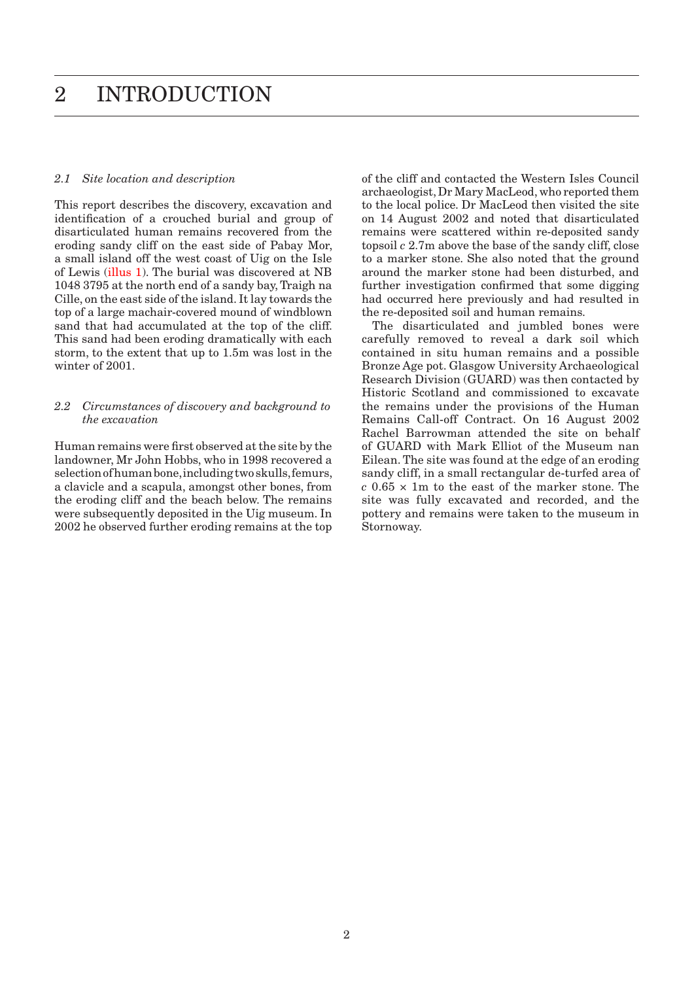## *2.1 Site location and description*

This report describes the discovery, excavation and identification of a crouched burial and group of disarticulated human remains recovered from the eroding sandy cliff on the east side of Pabay Mor, a small island off the west coast of Uig on the Isle of Lewis [\(illus 1\). T](#page-1-0)he burial was discovered at NB 1048 3795 at the north end of a sandy bay, Traigh na Cille, on the east side of the island. It lay towards the top of a large machair-covered mound of windblown sand that had accumulated at the top of the cliff. This sand had been eroding dramatically with each storm, to the extent that up to 1.5m was lost in the winter of 2001.

## *2.2 Circumstances of discovery and background to the excavation*

Human remains were first observed at the site by the landowner, Mr John Hobbs, who in 1998 recovered a selection of human bone, including two skulls, femurs, a clavicle and a scapula, amongst other bones, from the eroding cliff and the beach below. The remains were subsequently deposited in the Uig museum. In 2002 he observed further eroding remains at the top of the cliff and contacted the Western Isles Council archaeologist, Dr Mary MacLeod, who reported them to the local police. Dr MacLeod then visited the site on 14 August 2002 and noted that disarticulated remains were scattered within re-deposited sandy topsoil *c* 2.7m above the base of the sandy cliff, close to a marker stone. She also noted that the ground around the marker stone had been disturbed, and further investigation confirmed that some digging had occurred here previously and had resulted in the re-deposited soil and human remains.

The disarticulated and jumbled bones were carefully removed to reveal a dark soil which contained in situ human remains and a possible Bronze Age pot. Glasgow University Archaeological Research Division (GUARD) was then contacted by Historic Scotland and commissioned to excavate the remains under the provisions of the Human Remains Call-off Contract. On 16 August 2002 Rachel Barrowman attended the site on behalf of GUARD with Mark Elliot of the Museum nan Eilean. The site was found at the edge of an eroding sandy cliff, in a small rectangular de-turfed area of *c* 0.65 × 1m to the east of the marker stone. The site was fully excavated and recorded, and the pottery and remains were taken to the museum in Stornoway.